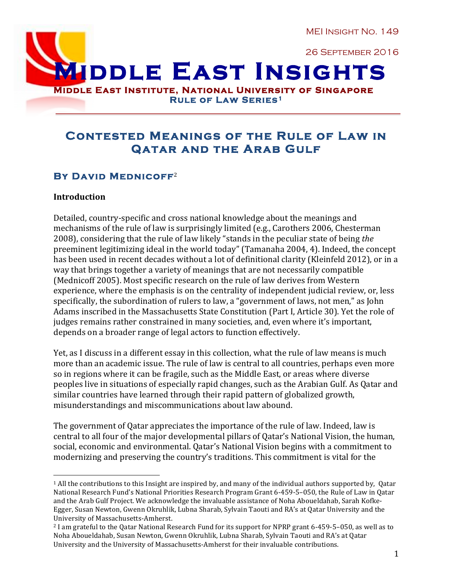MEI Insight No. 149

26 September 2016

**MIDDLE EAST INSIGHTS**<br>Middle East Institute, National University of Singapore

**Rule of Law Series1** 

# **Contested Meanings of the Rule of Law in Qatar and the Arab Gulf**

## **By David Mednicoff**<sup>2</sup>

 

#### **Introduction**

Detailed, country-specific and cross national knowledge about the meanings and mechanisms of the rule of law is surprisingly limited (e.g., Carothers 2006, Chesterman 2008), considering that the rule of law likely "stands in the peculiar state of being the preeminent legitimizing ideal in the world today" (Tamanaha 2004, 4). Indeed, the concept has been used in recent decades without a lot of definitional clarity (Kleinfeld 2012), or in a way that brings together a variety of meanings that are not necessarily compatible (Mednicoff 2005). Most specific research on the rule of law derives from Western experience, where the emphasis is on the centrality of independent judicial review, or, less specifically, the subordination of rulers to law, a "government of laws, not men," as John Adams inscribed in the Massachusetts State Constitution (Part I, Article 30). Yet the role of judges remains rather constrained in many societies, and, even where it's important, depends on a broader range of legal actors to function effectively.

Yet, as I discuss in a different essay in this collection, what the rule of law means is much more than an academic issue. The rule of law is central to all countries, perhaps even more so in regions where it can be fragile, such as the Middle East, or areas where diverse peoples live in situations of especially rapid changes, such as the Arabian Gulf. As Qatar and similar countries have learned through their rapid pattern of globalized growth, misunderstandings and miscommunications about law abound.

The government of Qatar appreciates the importance of the rule of law. Indeed, law is central to all four of the major developmental pillars of Oatar's National Vision, the human, social, economic and environmental. Qatar's National Vision begins with a commitment to modernizing and preserving the country's traditions. This commitment is vital for the

 $1$  All the contributions to this Insight are inspired by, and many of the individual authors supported by, Qatar National Research Fund's National Priorities Research Program Grant 6-459-5-050, the Rule of Law in Qatar and the Arab Gulf Project. We acknowledge the invaluable assistance of Noha Aboueldahab, Sarah Kofke-Egger, Susan Newton, Gwenn Okruhlik, Lubna Sharab, Sylvain Taouti and RA's at Oatar University and the University of Massachusetts-Amherst.

<sup>&</sup>lt;sup>2</sup> I am grateful to the Qatar National Research Fund for its support for NPRP grant 6-459-5–050, as well as to Noha Aboueldahab, Susan Newton, Gwenn Okruhlik, Lubna Sharab, Sylvain Taouti and RA's at Qatar University and the University of Massachusetts-Amherst for their invaluable contributions.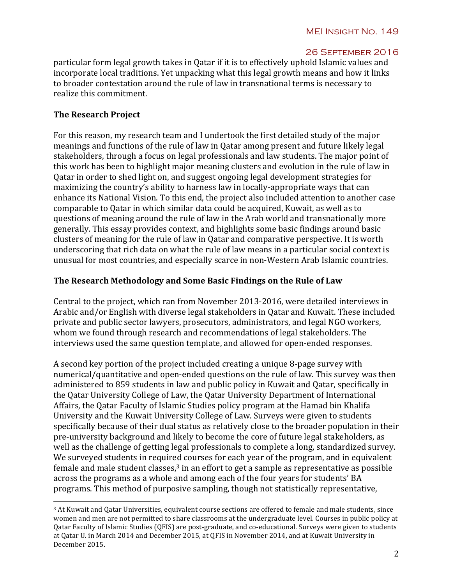particular form legal growth takes in Qatar if it is to effectively uphold Islamic values and incorporate local traditions. Yet unpacking what this legal growth means and how it links to broader contestation around the rule of law in transnational terms is necessary to realize this commitment.

## **The Research Project**

 

For this reason, my research team and I undertook the first detailed study of the major meanings and functions of the rule of law in Oatar among present and future likely legal stakeholders, through a focus on legal professionals and law students. The major point of this work has been to highlight major meaning clusters and evolution in the rule of law in Oatar in order to shed light on, and suggest ongoing legal development strategies for maximizing the country's ability to harness law in locally-appropriate ways that can enhance its National Vision. To this end, the project also included attention to another case comparable to Oatar in which similar data could be acquired. Kuwait, as well as to questions of meaning around the rule of law in the Arab world and transnationally more generally. This essay provides context, and highlights some basic findings around basic clusters of meaning for the rule of law in Qatar and comparative perspective. It is worth underscoring that rich data on what the rule of law means in a particular social context is unusual for most countries, and especially scarce in non-Western Arab Islamic countries.

### The Research Methodology and Some Basic Findings on the Rule of Law

Central to the project, which ran from November 2013-2016, were detailed interviews in Arabic and/or English with diverse legal stakeholders in Oatar and Kuwait. These included private and public sector lawyers, prosecutors, administrators, and legal NGO workers, whom we found through research and recommendations of legal stakeholders. The interviews used the same question template, and allowed for open-ended responses.

A second key portion of the project included creating a unique 8-page survey with numerical/quantitative and open-ended questions on the rule of law. This survey was then administered to 859 students in law and public policy in Kuwait and Qatar, specifically in the Oatar University College of Law, the Oatar University Department of International Affairs, the Qatar Faculty of Islamic Studies policy program at the Hamad bin Khalifa University and the Kuwait University College of Law. Surveys were given to students specifically because of their dual status as relatively close to the broader population in their pre-university background and likely to become the core of future legal stakeholders, as well as the challenge of getting legal professionals to complete a long, standardized survey. We surveyed students in required courses for each year of the program, and in equivalent female and male student classes, $3$  in an effort to get a sample as representative as possible across the programs as a whole and among each of the four years for students' BA programs. This method of purposive sampling, though not statistically representative,

<sup>&</sup>lt;sup>3</sup> At Kuwait and Oatar Universities, equivalent course sections are offered to female and male students, since women and men are not permitted to share classrooms at the undergraduate level. Courses in public policy at Qatar Faculty of Islamic Studies (QFIS) are post-graduate, and co-educational. Surveys were given to students at Qatar U. in March 2014 and December 2015, at QFIS in November 2014, and at Kuwait University in December 2015.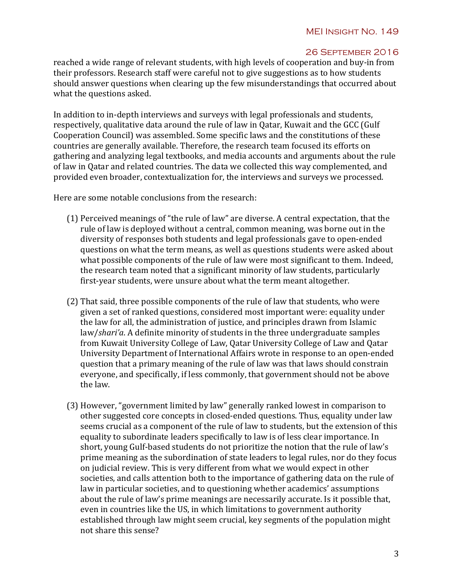reached a wide range of relevant students, with high levels of cooperation and buy-in from their professors. Research staff were careful not to give suggestions as to how students should answer questions when clearing up the few misunderstandings that occurred about what the questions asked.

In addition to in-depth interviews and surveys with legal professionals and students, respectively, qualitative data around the rule of law in Qatar, Kuwait and the GCC (Gulf Cooperation Council) was assembled. Some specific laws and the constitutions of these countries are generally available. Therefore, the research team focused its efforts on gathering and analyzing legal textbooks, and media accounts and arguments about the rule of law in Qatar and related countries. The data we collected this way complemented, and provided even broader, contextualization for, the interviews and surveys we processed.

Here are some notable conclusions from the research:

- (1) Perceived meanings of "the rule of law" are diverse. A central expectation, that the rule of law is deployed without a central, common meaning, was borne out in the diversity of responses both students and legal professionals gave to open-ended questions on what the term means, as well as questions students were asked about what possible components of the rule of law were most significant to them. Indeed, the research team noted that a significant minority of law students, particularly first-year students, were unsure about what the term meant altogether.
- (2) That said, three possible components of the rule of law that students, who were given a set of ranked questions, considered most important were: equality under the law for all, the administration of justice, and principles drawn from Islamic law/*shari'a*. A definite minority of students in the three undergraduate samples from Kuwait University College of Law, Oatar University College of Law and Oatar University Department of International Affairs wrote in response to an open-ended question that a primary meaning of the rule of law was that laws should constrain everyone, and specifically, if less commonly, that government should not be above the law.
- (3) However, "government limited by law" generally ranked lowest in comparison to other suggested core concepts in closed-ended questions. Thus, equality under law seems crucial as a component of the rule of law to students, but the extension of this equality to subordinate leaders specifically to law is of less clear importance. In short, young Gulf-based students do not prioritize the notion that the rule of law's prime meaning as the subordination of state leaders to legal rules, nor do they focus on judicial review. This is very different from what we would expect in other societies, and calls attention both to the importance of gathering data on the rule of law in particular societies, and to questioning whether academics' assumptions about the rule of law's prime meanings are necessarily accurate. Is it possible that, even in countries like the US, in which limitations to government authority established through law might seem crucial, key segments of the population might not share this sense?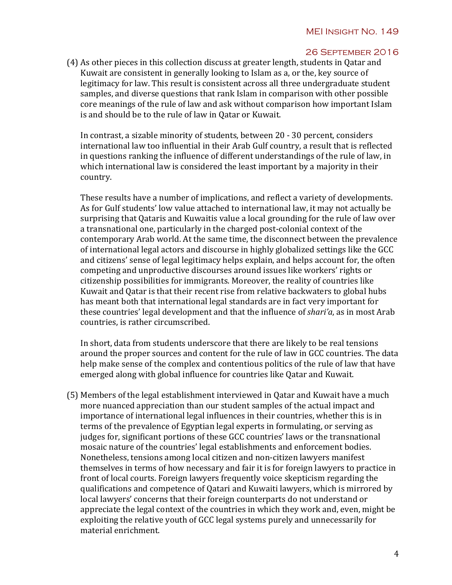(4) As other pieces in this collection discuss at greater length, students in Qatar and Kuwait are consistent in generally looking to Islam as a, or the, key source of legitimacy for law. This result is consistent across all three undergraduate student samples, and diverse questions that rank Islam in comparison with other possible core meanings of the rule of law and ask without comparison how important Islam is and should be to the rule of law in Qatar or Kuwait.

In contrast, a sizable minority of students, between 20 - 30 percent, considers international law too influential in their Arab Gulf country, a result that is reflected in questions ranking the influence of different understandings of the rule of law, in which international law is considered the least important by a majority in their country. 

These results have a number of implications, and reflect a variety of developments. As for Gulf students' low value attached to international law, it may not actually be surprising that Qataris and Kuwaitis value a local grounding for the rule of law over a transnational one, particularly in the charged post-colonial context of the contemporary Arab world. At the same time, the disconnect between the prevalence of international legal actors and discourse in highly globalized settings like the GCC and citizens' sense of legal legitimacy helps explain, and helps account for, the often competing and unproductive discourses around issues like workers' rights or citizenship possibilities for immigrants. Moreover, the reality of countries like Kuwait and Qatar is that their recent rise from relative backwaters to global hubs has meant both that international legal standards are in fact very important for these countries' legal development and that the influence of *shari'a*, as in most Arab countries, is rather circumscribed.

In short, data from students underscore that there are likely to be real tensions around the proper sources and content for the rule of law in GCC countries. The data help make sense of the complex and contentious politics of the rule of law that have emerged along with global influence for countries like Qatar and Kuwait.

(5) Members of the legal establishment interviewed in Oatar and Kuwait have a much more nuanced appreciation than our student samples of the actual impact and importance of international legal influences in their countries, whether this is in terms of the prevalence of Egyptian legal experts in formulating, or serving as judges for, significant portions of these GCC countries' laws or the transnational mosaic nature of the countries' legal establishments and enforcement bodies. Nonetheless, tensions among local citizen and non-citizen lawyers manifest themselves in terms of how necessary and fair it is for foreign lawyers to practice in front of local courts. Foreign lawyers frequently voice skepticism regarding the qualifications and competence of Qatari and Kuwaiti lawyers, which is mirrored by local lawyers' concerns that their foreign counterparts do not understand or appreciate the legal context of the countries in which they work and, even, might be exploiting the relative youth of GCC legal systems purely and unnecessarily for material enrichment.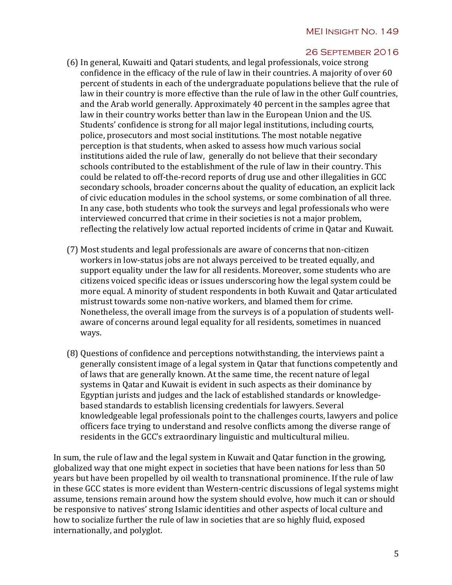- (6) In general, Kuwaiti and Qatari students, and legal professionals, voice strong confidence in the efficacy of the rule of law in their countries. A majority of over  $60$ percent of students in each of the undergraduate populations believe that the rule of law in their country is more effective than the rule of law in the other Gulf countries, and the Arab world generally. Approximately 40 percent in the samples agree that law in their country works better than law in the European Union and the US. Students' confidence is strong for all major legal institutions, including courts, police, prosecutors and most social institutions. The most notable negative perception is that students, when asked to assess how much various social institutions aided the rule of law, generally do not believe that their secondary schools contributed to the establishment of the rule of law in their country. This could be related to off-the-record reports of drug use and other illegalities in GCC secondary schools, broader concerns about the quality of education, an explicit lack of civic education modules in the school systems, or some combination of all three. In any case, both students who took the surveys and legal professionals who were interviewed concurred that crime in their societies is not a major problem, reflecting the relatively low actual reported incidents of crime in Oatar and Kuwait.
- (7) Most students and legal professionals are aware of concerns that non-citizen workers in low-status jobs are not always perceived to be treated equally, and support equality under the law for all residents. Moreover, some students who are citizens voiced specific ideas or issues underscoring how the legal system could be more equal. A minority of student respondents in both Kuwait and Qatar articulated mistrust towards some non-native workers, and blamed them for crime. Nonetheless, the overall image from the surveys is of a population of students wellaware of concerns around legal equality for all residents, sometimes in nuanced ways.
- (8) Questions of confidence and perceptions notwithstanding, the interviews paint a generally consistent image of a legal system in Qatar that functions competently and of laws that are generally known. At the same time, the recent nature of legal systems in Qatar and Kuwait is evident in such aspects as their dominance by Egyptian jurists and judges and the lack of established standards or knowledgebased standards to establish licensing credentials for lawyers. Several knowledgeable legal professionals point to the challenges courts, lawyers and police officers face trying to understand and resolve conflicts among the diverse range of residents in the GCC's extraordinary linguistic and multicultural milieu.

In sum, the rule of law and the legal system in Kuwait and Qatar function in the growing, globalized way that one might expect in societies that have been nations for less than 50 years but have been propelled by oil wealth to transnational prominence. If the rule of law in these GCC states is more evident than Western-centric discussions of legal systems might assume, tensions remain around how the system should evolve, how much it can or should be responsive to natives' strong Islamic identities and other aspects of local culture and how to socialize further the rule of law in societies that are so highly fluid, exposed internationally, and polyglot.